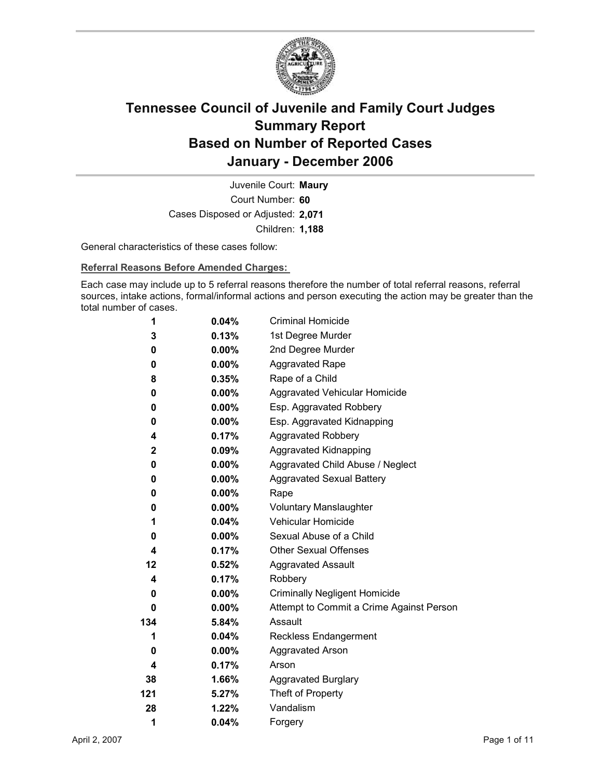

Court Number: **60** Juvenile Court: **Maury** Cases Disposed or Adjusted: **2,071** Children: **1,188**

General characteristics of these cases follow:

**Referral Reasons Before Amended Charges:** 

Each case may include up to 5 referral reasons therefore the number of total referral reasons, referral sources, intake actions, formal/informal actions and person executing the action may be greater than the total number of cases.

| 1   | 0.04%    | <b>Criminal Homicide</b>                 |
|-----|----------|------------------------------------------|
| 3   | 0.13%    | 1st Degree Murder                        |
| 0   | $0.00\%$ | 2nd Degree Murder                        |
| 0   | $0.00\%$ | <b>Aggravated Rape</b>                   |
| 8   | 0.35%    | Rape of a Child                          |
| 0   | $0.00\%$ | Aggravated Vehicular Homicide            |
| 0   | $0.00\%$ | Esp. Aggravated Robbery                  |
| 0   | $0.00\%$ | Esp. Aggravated Kidnapping               |
| 4   | 0.17%    | <b>Aggravated Robbery</b>                |
| 2   | 0.09%    | <b>Aggravated Kidnapping</b>             |
| 0   | $0.00\%$ | Aggravated Child Abuse / Neglect         |
| 0   | $0.00\%$ | <b>Aggravated Sexual Battery</b>         |
| 0   | $0.00\%$ | Rape                                     |
| 0   | $0.00\%$ | <b>Voluntary Manslaughter</b>            |
| 1   | 0.04%    | <b>Vehicular Homicide</b>                |
| 0   | $0.00\%$ | Sexual Abuse of a Child                  |
| 4   | $0.17\%$ | <b>Other Sexual Offenses</b>             |
| 12  | 0.52%    | <b>Aggravated Assault</b>                |
| 4   | 0.17%    | Robbery                                  |
| 0   | $0.00\%$ | <b>Criminally Negligent Homicide</b>     |
| 0   | $0.00\%$ | Attempt to Commit a Crime Against Person |
| 134 | 5.84%    | Assault                                  |
| 1   | 0.04%    | <b>Reckless Endangerment</b>             |
| 0   | $0.00\%$ | <b>Aggravated Arson</b>                  |
| 4   | 0.17%    | Arson                                    |
| 38  | 1.66%    | <b>Aggravated Burglary</b>               |
| 121 | 5.27%    | Theft of Property                        |
| 28  | 1.22%    | Vandalism                                |
| 1   | 0.04%    | Forgery                                  |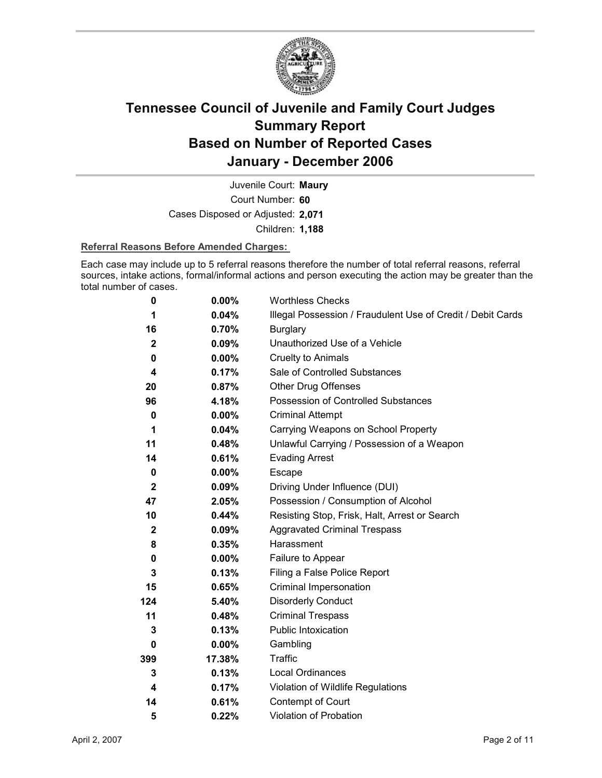

Court Number: **60** Juvenile Court: **Maury** Cases Disposed or Adjusted: **2,071** Children: **1,188**

### **Referral Reasons Before Amended Charges:**

Each case may include up to 5 referral reasons therefore the number of total referral reasons, referral sources, intake actions, formal/informal actions and person executing the action may be greater than the total number of cases.

| 0            | $0.00\%$ | <b>Worthless Checks</b>                                     |
|--------------|----------|-------------------------------------------------------------|
| 1            | 0.04%    | Illegal Possession / Fraudulent Use of Credit / Debit Cards |
| 16           | 0.70%    | <b>Burglary</b>                                             |
| $\mathbf{2}$ | $0.09\%$ | Unauthorized Use of a Vehicle                               |
| 0            | $0.00\%$ | <b>Cruelty to Animals</b>                                   |
| 4            | 0.17%    | Sale of Controlled Substances                               |
| 20           | 0.87%    | <b>Other Drug Offenses</b>                                  |
| 96           | 4.18%    | Possession of Controlled Substances                         |
| 0            | $0.00\%$ | <b>Criminal Attempt</b>                                     |
| 1            | 0.04%    | Carrying Weapons on School Property                         |
| 11           | 0.48%    | Unlawful Carrying / Possession of a Weapon                  |
| 14           | 0.61%    | <b>Evading Arrest</b>                                       |
| 0            | $0.00\%$ | Escape                                                      |
| $\mathbf{2}$ | $0.09\%$ | Driving Under Influence (DUI)                               |
| 47           | 2.05%    | Possession / Consumption of Alcohol                         |
| 10           | $0.44\%$ | Resisting Stop, Frisk, Halt, Arrest or Search               |
| $\mathbf{2}$ | 0.09%    | <b>Aggravated Criminal Trespass</b>                         |
| 8            | 0.35%    | Harassment                                                  |
| 0            | $0.00\%$ | Failure to Appear                                           |
| 3            | 0.13%    | Filing a False Police Report                                |
| 15           | 0.65%    | Criminal Impersonation                                      |
| 124          | 5.40%    | <b>Disorderly Conduct</b>                                   |
| 11           | 0.48%    | <b>Criminal Trespass</b>                                    |
| 3            | 0.13%    | Public Intoxication                                         |
| 0            | $0.00\%$ | Gambling                                                    |
| 399          | 17.38%   | <b>Traffic</b>                                              |
| 3            | 0.13%    | Local Ordinances                                            |
| 4            | 0.17%    | Violation of Wildlife Regulations                           |
| 14           | 0.61%    | Contempt of Court                                           |
| 5            | 0.22%    | Violation of Probation                                      |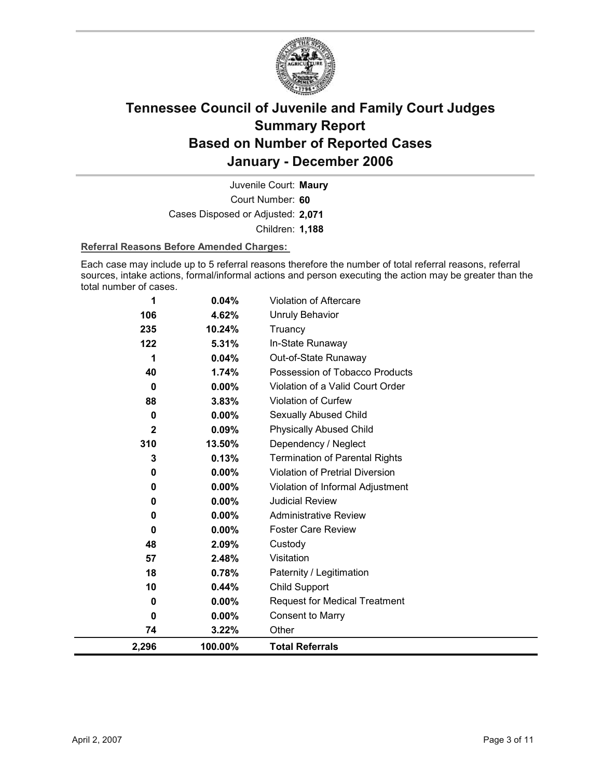

Court Number: **60** Juvenile Court: **Maury** Cases Disposed or Adjusted: **2,071** Children: **1,188**

### **Referral Reasons Before Amended Charges:**

Each case may include up to 5 referral reasons therefore the number of total referral reasons, referral sources, intake actions, formal/informal actions and person executing the action may be greater than the total number of cases.

| 2,296        | 100.00%         | <b>Total Referrals</b>                 |
|--------------|-----------------|----------------------------------------|
| 74           | 3.22%           | Other                                  |
| 0            | $0.00\%$        | <b>Consent to Marry</b>                |
| 0            | $0.00\%$        | <b>Request for Medical Treatment</b>   |
| 10           | 0.44%           | Child Support                          |
| 18           | 0.78%           | Paternity / Legitimation               |
| 57           | 2.48%           | Visitation                             |
| 48           | 2.09%           | Custody                                |
| 0            | $0.00\%$        | <b>Foster Care Review</b>              |
| 0            | 0.00%           | <b>Administrative Review</b>           |
| 0            | 0.00%           | <b>Judicial Review</b>                 |
| 0            | $0.00\%$        | Violation of Informal Adjustment       |
| 0            | 0.00%           | <b>Violation of Pretrial Diversion</b> |
| 3            | 0.13%           | <b>Termination of Parental Rights</b>  |
| 310          | 13.50%          | Dependency / Neglect                   |
| $\mathbf{2}$ | 0.09%           | <b>Physically Abused Child</b>         |
| 0            | 0.00%           | Sexually Abused Child                  |
| 88           | 3.83%           | Violation of Curfew                    |
| 0            | $0.00\%$        | Violation of a Valid Court Order       |
| 40           | 1.74%           | Possession of Tobacco Products         |
| 1            | 0.04%           | Out-of-State Runaway                   |
| 122          | 5.31%           | In-State Runaway                       |
| 106<br>235   | 4.62%<br>10.24% | <b>Unruly Behavior</b><br>Truancy      |
|              |                 |                                        |
| 1            | 0.04%           | Violation of Aftercare                 |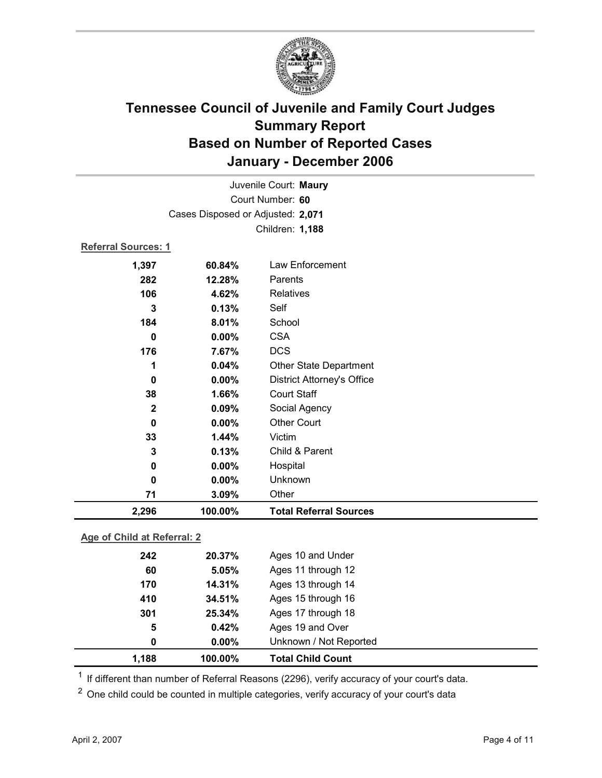

| Juvenile Court: Maury       |                                   |                                   |  |  |  |
|-----------------------------|-----------------------------------|-----------------------------------|--|--|--|
| Court Number: 60            |                                   |                                   |  |  |  |
|                             | Cases Disposed or Adjusted: 2,071 |                                   |  |  |  |
|                             |                                   | Children: 1,188                   |  |  |  |
|                             | <b>Referral Sources: 1</b>        |                                   |  |  |  |
| 1,397                       | 60.84%                            | Law Enforcement                   |  |  |  |
| 282                         | 12.28%                            | Parents                           |  |  |  |
| 106                         | 4.62%                             | Relatives                         |  |  |  |
| 3                           | 0.13%                             | Self                              |  |  |  |
| 184                         | 8.01%                             | School                            |  |  |  |
| $\mathbf 0$                 | 0.00%                             | <b>CSA</b>                        |  |  |  |
| 176                         | 7.67%                             | <b>DCS</b>                        |  |  |  |
| 1                           | 0.04%                             | <b>Other State Department</b>     |  |  |  |
| $\bf{0}$                    | 0.00%                             | <b>District Attorney's Office</b> |  |  |  |
| 38                          | 1.66%                             | <b>Court Staff</b>                |  |  |  |
| $\mathbf{2}$                | 0.09%                             | Social Agency                     |  |  |  |
| $\mathbf 0$                 | 0.00%                             | <b>Other Court</b>                |  |  |  |
| 33                          | 1.44%                             | Victim                            |  |  |  |
| 3                           | 0.13%                             | Child & Parent                    |  |  |  |
| 0                           | 0.00%                             | Hospital                          |  |  |  |
| $\bf{0}$                    | 0.00%                             | Unknown                           |  |  |  |
| 71                          | 3.09%                             | Other                             |  |  |  |
| 2,296                       | 100.00%                           | <b>Total Referral Sources</b>     |  |  |  |
| Age of Child at Referral: 2 |                                   |                                   |  |  |  |

| 1,188 | 100.00%  | <b>Total Child Count</b> |  |
|-------|----------|--------------------------|--|
| 0     | $0.00\%$ | Unknown / Not Reported   |  |
| 5     | 0.42%    | Ages 19 and Over         |  |
| 301   | 25.34%   | Ages 17 through 18       |  |
| 410   | 34.51%   | Ages 15 through 16       |  |
| 170   | 14.31%   | Ages 13 through 14       |  |
| 60    | 5.05%    | Ages 11 through 12       |  |
| 242   | 20.37%   | Ages 10 and Under        |  |
|       |          |                          |  |

 $1$  If different than number of Referral Reasons (2296), verify accuracy of your court's data.

<sup>2</sup> One child could be counted in multiple categories, verify accuracy of your court's data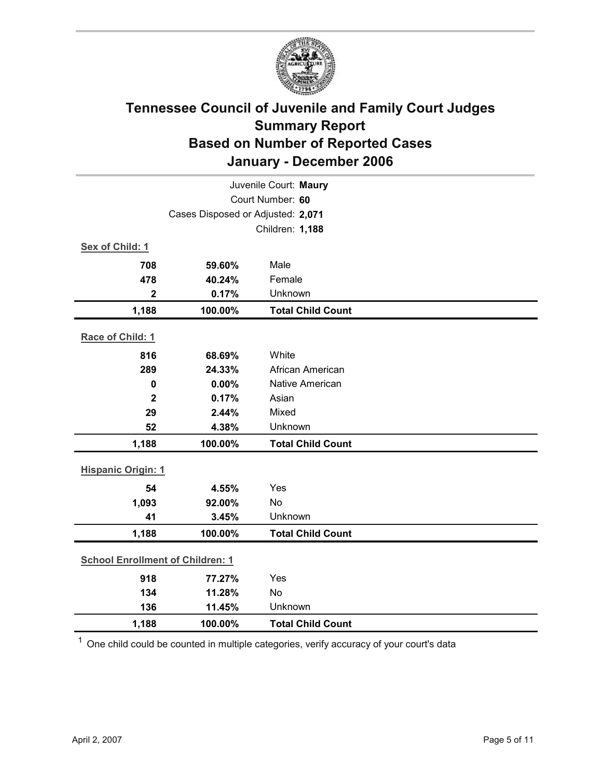

| Juvenile Court: Maury                   |                                   |                          |  |  |
|-----------------------------------------|-----------------------------------|--------------------------|--|--|
| Court Number: 60                        |                                   |                          |  |  |
|                                         | Cases Disposed or Adjusted: 2,071 |                          |  |  |
|                                         |                                   | Children: 1,188          |  |  |
| Sex of Child: 1                         |                                   |                          |  |  |
| 708                                     | 59.60%                            | Male                     |  |  |
| 478                                     | 40.24%                            | Female                   |  |  |
| $\mathbf 2$                             | 0.17%                             | Unknown                  |  |  |
| 1,188                                   | 100.00%                           | <b>Total Child Count</b> |  |  |
| Race of Child: 1                        |                                   |                          |  |  |
| 816                                     | 68.69%                            | White                    |  |  |
| 289                                     | 24.33%                            | African American         |  |  |
| $\mathbf 0$                             | 0.00%                             | <b>Native American</b>   |  |  |
| $\overline{\mathbf{2}}$                 | 0.17%                             | Asian                    |  |  |
| 29                                      | 2.44%                             | Mixed                    |  |  |
| 52                                      | 4.38%                             | Unknown                  |  |  |
| 1,188                                   | 100.00%                           | <b>Total Child Count</b> |  |  |
|                                         | <b>Hispanic Origin: 1</b>         |                          |  |  |
| 54                                      | 4.55%                             | Yes                      |  |  |
| 1,093                                   | 92.00%                            | No                       |  |  |
| 41                                      | 3.45%                             | Unknown                  |  |  |
| 1,188                                   | 100.00%                           | <b>Total Child Count</b> |  |  |
| <b>School Enrollment of Children: 1</b> |                                   |                          |  |  |
| 918                                     | 77.27%                            | Yes                      |  |  |
| 134                                     | 11.28%                            | <b>No</b>                |  |  |
| 136                                     | 11.45%                            | Unknown                  |  |  |
| 1,188                                   | 100.00%                           | <b>Total Child Count</b> |  |  |

 $1$  One child could be counted in multiple categories, verify accuracy of your court's data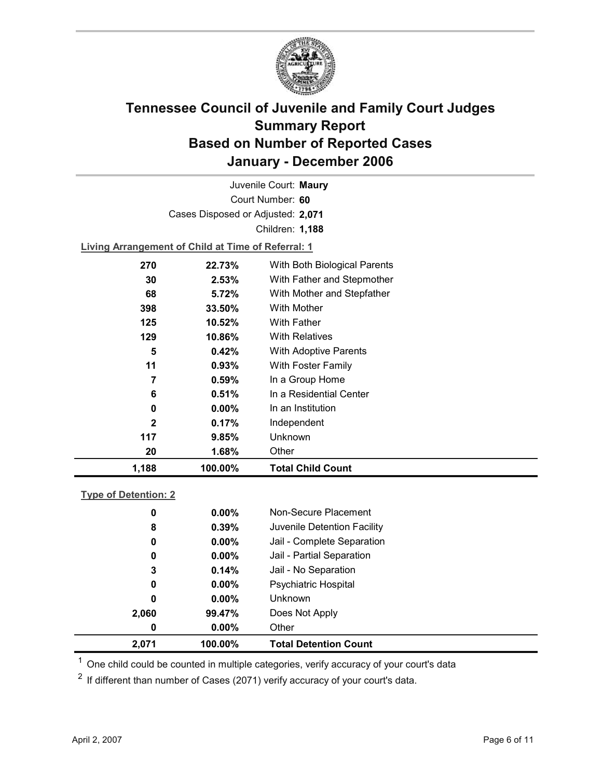

Court Number: **60** Juvenile Court: **Maury** Cases Disposed or Adjusted: **2,071** Children: **1,188**

**Living Arrangement of Child at Time of Referral: 1**

| 1,188        | 100.00%  | <b>Total Child Count</b>     |
|--------------|----------|------------------------------|
| 20           | 1.68%    | Other                        |
| 117          | 9.85%    | Unknown                      |
| $\mathbf{2}$ | 0.17%    | Independent                  |
| 0            | $0.00\%$ | In an Institution            |
| 6            | 0.51%    | In a Residential Center      |
| 7            | 0.59%    | In a Group Home              |
| 11           | 0.93%    | With Foster Family           |
| 5            | 0.42%    | With Adoptive Parents        |
| 129          | 10.86%   | <b>With Relatives</b>        |
| 125          | 10.52%   | With Father                  |
| 398          | 33.50%   | With Mother                  |
| 68           | 5.72%    | With Mother and Stepfather   |
| 30           | 2.53%    | With Father and Stepmother   |
| 270          | 22.73%   | With Both Biological Parents |
|              |          |                              |

### **Type of Detention: 2**

| 2,071 | 100.00%       | <b>Total Detention Count</b> |
|-------|---------------|------------------------------|
|       | $0.00\%$<br>0 | Other                        |
| 2,060 | 99.47%        | Does Not Apply               |
|       | 0<br>$0.00\%$ | <b>Unknown</b>               |
|       | $0.00\%$<br>0 | <b>Psychiatric Hospital</b>  |
|       | 0.14%<br>3    | Jail - No Separation         |
|       | 0<br>$0.00\%$ | Jail - Partial Separation    |
|       | $0.00\%$<br>0 | Jail - Complete Separation   |
|       | 0.39%<br>8    | Juvenile Detention Facility  |
|       | $0.00\%$<br>0 | Non-Secure Placement         |
|       |               |                              |

 $<sup>1</sup>$  One child could be counted in multiple categories, verify accuracy of your court's data</sup>

 $2$  If different than number of Cases (2071) verify accuracy of your court's data.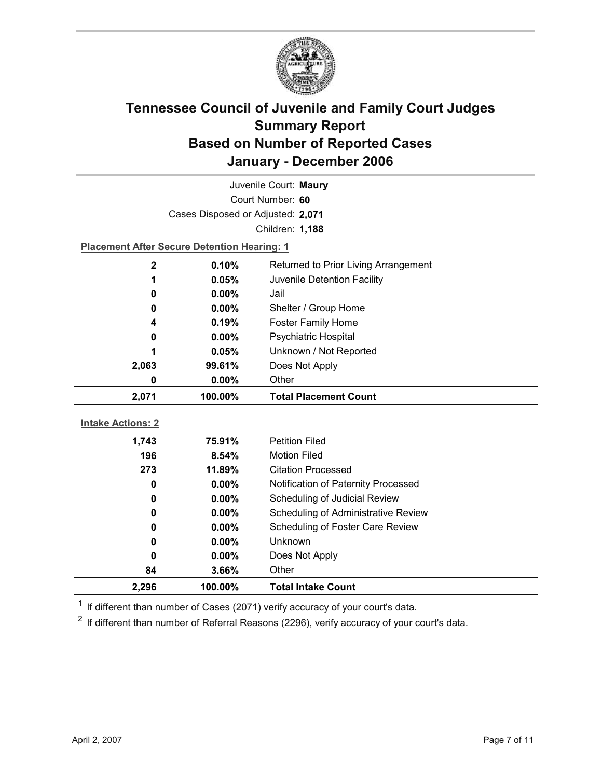

| Juvenile Court: Maury    |                                                    |                                            |  |  |
|--------------------------|----------------------------------------------------|--------------------------------------------|--|--|
|                          | Court Number: 60                                   |                                            |  |  |
|                          | Cases Disposed or Adjusted: 2,071                  |                                            |  |  |
|                          |                                                    | Children: 1,188                            |  |  |
|                          | <b>Placement After Secure Detention Hearing: 1</b> |                                            |  |  |
| $\mathbf 2$              | 0.10%                                              | Returned to Prior Living Arrangement       |  |  |
| 1                        | 0.05%                                              | Juvenile Detention Facility                |  |  |
| 0                        | 0.00%                                              | Jail                                       |  |  |
| 0                        | 0.00%                                              | Shelter / Group Home                       |  |  |
| 4                        | 0.19%                                              | <b>Foster Family Home</b>                  |  |  |
| 0                        | 0.00%                                              | Psychiatric Hospital                       |  |  |
| 1                        | 0.05%                                              | Unknown / Not Reported                     |  |  |
| 2,063                    | 99.61%                                             | Does Not Apply                             |  |  |
| 0                        | 0.00%                                              | Other                                      |  |  |
|                          |                                                    |                                            |  |  |
| 2,071                    | 100.00%                                            | <b>Total Placement Count</b>               |  |  |
|                          |                                                    |                                            |  |  |
| <b>Intake Actions: 2</b> |                                                    |                                            |  |  |
| 1,743                    | 75.91%                                             | <b>Petition Filed</b>                      |  |  |
| 196                      | 8.54%                                              | <b>Motion Filed</b>                        |  |  |
| 273                      | 11.89%                                             | <b>Citation Processed</b>                  |  |  |
| 0                        | 0.00%                                              | Notification of Paternity Processed        |  |  |
| 0                        | 0.00%                                              | Scheduling of Judicial Review              |  |  |
| 0                        | $0.00\%$                                           | <b>Scheduling of Administrative Review</b> |  |  |
| 0                        | 0.00%                                              | Scheduling of Foster Care Review           |  |  |
| 0                        | $0.00\%$                                           | <b>Unknown</b>                             |  |  |
| 0                        | 0.00%                                              | Does Not Apply                             |  |  |
| 84<br>2,296              | 3.66%<br>100.00%                                   | Other<br><b>Total Intake Count</b>         |  |  |

 $1$  If different than number of Cases (2071) verify accuracy of your court's data.

 $2$  If different than number of Referral Reasons (2296), verify accuracy of your court's data.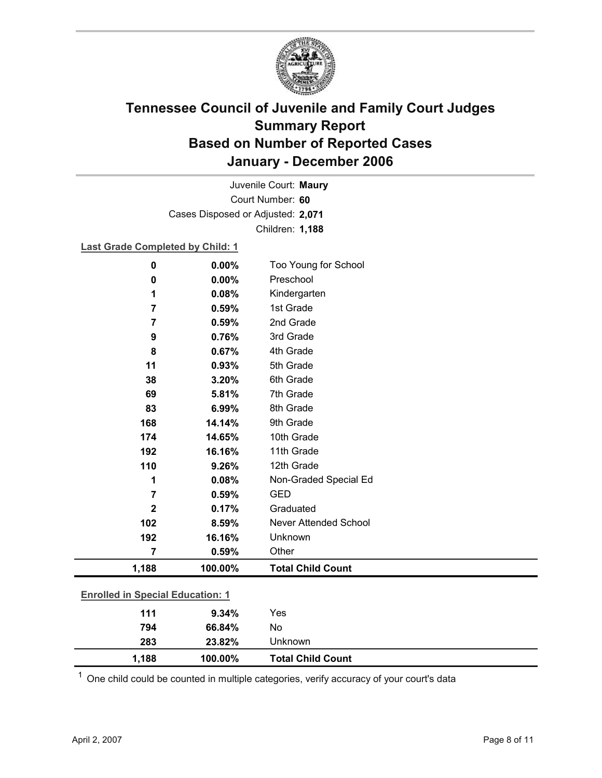

Court Number: **60** Juvenile Court: **Maury** Cases Disposed or Adjusted: **2,071** Children: **1,188**

### **Last Grade Completed by Child: 1**

| $\mathbf 0$                             | 0.00%   | Too Young for School     |
|-----------------------------------------|---------|--------------------------|
| $\mathbf 0$                             | 0.00%   | Preschool                |
| 1                                       | 0.08%   | Kindergarten             |
| $\overline{7}$                          | 0.59%   | 1st Grade                |
| $\overline{7}$                          | 0.59%   | 2nd Grade                |
| 9                                       | 0.76%   | 3rd Grade                |
| 8                                       | 0.67%   | 4th Grade                |
| 11                                      | 0.93%   | 5th Grade                |
| 38                                      | 3.20%   | 6th Grade                |
| 69                                      | 5.81%   | 7th Grade                |
| 83                                      | 6.99%   | 8th Grade                |
| 168                                     | 14.14%  | 9th Grade                |
| 174                                     | 14.65%  | 10th Grade               |
| 192                                     | 16.16%  | 11th Grade               |
| 110                                     | 9.26%   | 12th Grade               |
| 1                                       | 0.08%   | Non-Graded Special Ed    |
| $\overline{7}$                          | 0.59%   | <b>GED</b>               |
| $\mathbf 2$                             | 0.17%   | Graduated                |
| 102                                     | 8.59%   | Never Attended School    |
| 192                                     | 16.16%  | Unknown                  |
| 7                                       | 0.59%   | Other                    |
| 1,188                                   | 100.00% | <b>Total Child Count</b> |
|                                         |         |                          |
| <b>Enrolled in Special Education: 1</b> |         |                          |
| 111                                     | 9.34%   | Yes                      |
| 794                                     | 66.84%  | No                       |

 $1$  One child could be counted in multiple categories, verify accuracy of your court's data

**283 23.82%** Unknown

**1,188 100.00% Total Child Count**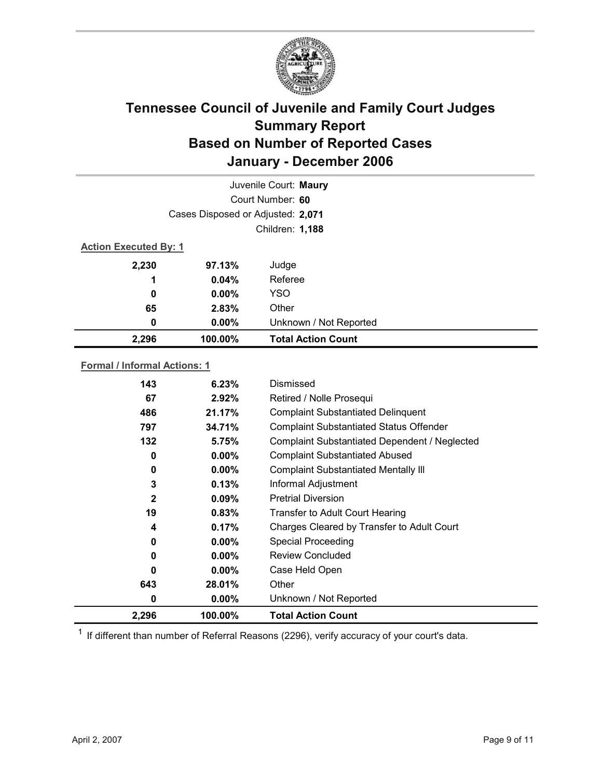

| Juvenile Court: Maury        |                                   |                           |  |  |
|------------------------------|-----------------------------------|---------------------------|--|--|
|                              | Court Number: 60                  |                           |  |  |
|                              | Cases Disposed or Adjusted: 2,071 |                           |  |  |
|                              | Children: 1,188                   |                           |  |  |
| <b>Action Executed By: 1</b> |                                   |                           |  |  |
| 2,230                        | 97.13%                            | Judge                     |  |  |
| 1                            | 0.04%                             | Referee                   |  |  |
| 0                            | $0.00\%$                          | <b>YSO</b>                |  |  |
| 65                           | 2.83%                             | Other                     |  |  |
| 0                            | $0.00\%$                          | Unknown / Not Reported    |  |  |
| 2,296                        | 100.00%                           | <b>Total Action Count</b> |  |  |

### **Formal / Informal Actions: 1**

| 143          | 6.23%    | Dismissed                                      |
|--------------|----------|------------------------------------------------|
| 67           | $2.92\%$ | Retired / Nolle Prosequi                       |
| 486          | 21.17%   | <b>Complaint Substantiated Delinquent</b>      |
| 797          | 34.71%   | <b>Complaint Substantiated Status Offender</b> |
| 132          | 5.75%    | Complaint Substantiated Dependent / Neglected  |
| 0            | $0.00\%$ | <b>Complaint Substantiated Abused</b>          |
| 0            | $0.00\%$ | <b>Complaint Substantiated Mentally III</b>    |
| 3            | 0.13%    | Informal Adjustment                            |
| $\mathbf{2}$ | 0.09%    | <b>Pretrial Diversion</b>                      |
| 19           | 0.83%    | Transfer to Adult Court Hearing                |
| 4            | 0.17%    | Charges Cleared by Transfer to Adult Court     |
| 0            | $0.00\%$ | <b>Special Proceeding</b>                      |
| 0            | $0.00\%$ | <b>Review Concluded</b>                        |
| 0            | $0.00\%$ | Case Held Open                                 |
| 643          | 28.01%   | Other                                          |
| 0            | $0.00\%$ | Unknown / Not Reported                         |
| 2,296        | 100.00%  | <b>Total Action Count</b>                      |

 $1$  If different than number of Referral Reasons (2296), verify accuracy of your court's data.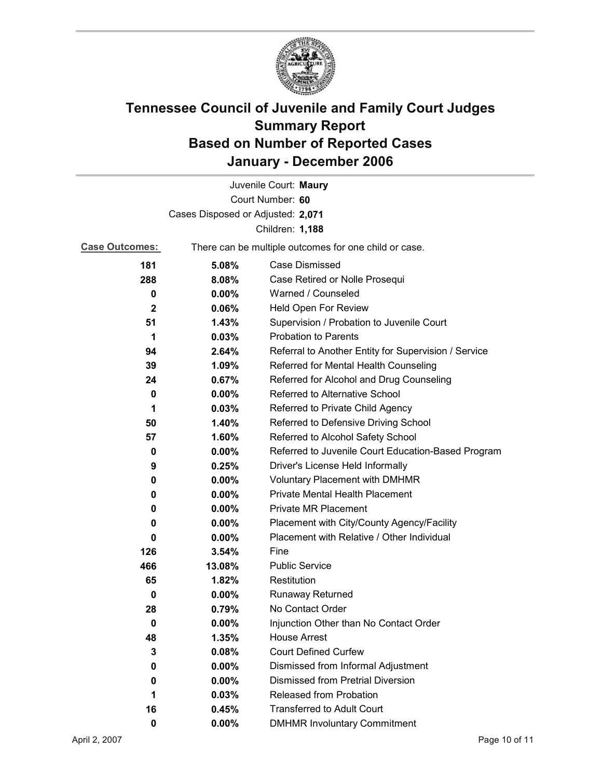

|                                   |                                                       | Juvenile Court: Maury                                |  |
|-----------------------------------|-------------------------------------------------------|------------------------------------------------------|--|
|                                   |                                                       | Court Number: 60                                     |  |
| Cases Disposed or Adjusted: 2,071 |                                                       |                                                      |  |
| Children: 1,188                   |                                                       |                                                      |  |
| <b>Case Outcomes:</b>             | There can be multiple outcomes for one child or case. |                                                      |  |
| 181                               | 5.08%                                                 | <b>Case Dismissed</b>                                |  |
| 288                               | 8.08%                                                 | Case Retired or Nolle Prosequi                       |  |
| 0                                 | 0.00%                                                 | Warned / Counseled                                   |  |
| $\mathbf{2}$                      | 0.06%                                                 | Held Open For Review                                 |  |
| 51                                | 1.43%                                                 | Supervision / Probation to Juvenile Court            |  |
| 1                                 | 0.03%                                                 | <b>Probation to Parents</b>                          |  |
| 94                                | 2.64%                                                 | Referral to Another Entity for Supervision / Service |  |
| 39                                | 1.09%                                                 | Referred for Mental Health Counseling                |  |
| 24                                | 0.67%                                                 | Referred for Alcohol and Drug Counseling             |  |
| 0                                 | 0.00%                                                 | Referred to Alternative School                       |  |
| 1                                 | 0.03%                                                 | Referred to Private Child Agency                     |  |
| 50                                | 1.40%                                                 | Referred to Defensive Driving School                 |  |
| 57                                | 1.60%                                                 | Referred to Alcohol Safety School                    |  |
| 0                                 | $0.00\%$                                              | Referred to Juvenile Court Education-Based Program   |  |
| 9                                 | 0.25%                                                 | Driver's License Held Informally                     |  |
| 0                                 | $0.00\%$                                              | Voluntary Placement with DMHMR                       |  |
| 0                                 | 0.00%                                                 | <b>Private Mental Health Placement</b>               |  |
| 0                                 | $0.00\%$                                              | <b>Private MR Placement</b>                          |  |
| 0                                 | $0.00\%$                                              | Placement with City/County Agency/Facility           |  |
| 0                                 | $0.00\%$                                              | Placement with Relative / Other Individual           |  |
| 126                               | 3.54%                                                 | Fine                                                 |  |
| 466                               | 13.08%                                                | <b>Public Service</b>                                |  |
| 65                                | 1.82%                                                 | Restitution                                          |  |
| 0                                 | 0.00%                                                 | <b>Runaway Returned</b>                              |  |
| 28                                | 0.79%                                                 | No Contact Order                                     |  |
| $\bf{0}$                          | 0.00%                                                 | Injunction Other than No Contact Order               |  |
| 48                                | 1.35%                                                 | <b>House Arrest</b>                                  |  |
| 3                                 | 0.08%                                                 | <b>Court Defined Curfew</b>                          |  |
| 0                                 | 0.00%                                                 | Dismissed from Informal Adjustment                   |  |
| 0                                 | 0.00%                                                 | <b>Dismissed from Pretrial Diversion</b>             |  |
| 1                                 | 0.03%                                                 | Released from Probation                              |  |
| 16                                | 0.45%                                                 | <b>Transferred to Adult Court</b>                    |  |
| 0                                 | $0.00\%$                                              | <b>DMHMR Involuntary Commitment</b>                  |  |